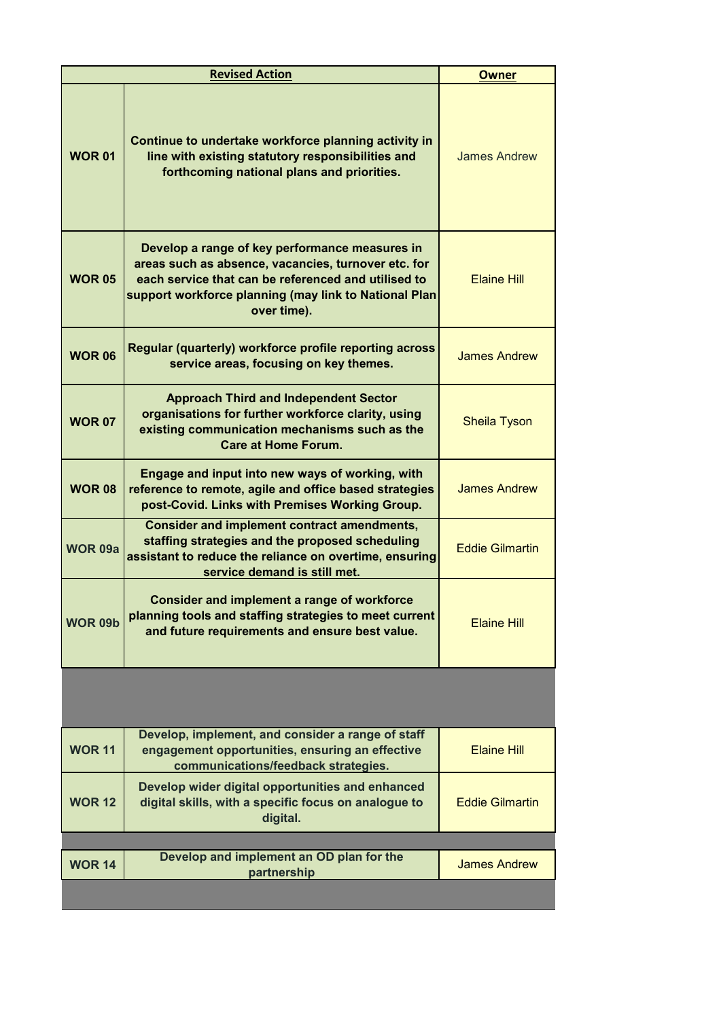|                | <b>Revised Action</b>                                                                                                                                                                                                                | <b>Owner</b>           |
|----------------|--------------------------------------------------------------------------------------------------------------------------------------------------------------------------------------------------------------------------------------|------------------------|
| <b>WOR 01</b>  | Continue to undertake workforce planning activity in<br>line with existing statutory responsibilities and<br>forthcoming national plans and priorities.                                                                              | <b>James Andrew</b>    |
| <b>WOR 05</b>  | Develop a range of key performance measures in<br>areas such as absence, vacancies, turnover etc. for<br>each service that can be referenced and utilised to<br>support workforce planning (may link to National Plan<br>over time). | <b>Elaine Hill</b>     |
| <b>WOR 06</b>  | Regular (quarterly) workforce profile reporting across<br>service areas, focusing on key themes.                                                                                                                                     | <b>James Andrew</b>    |
| <b>WOR 07</b>  | <b>Approach Third and Independent Sector</b><br>organisations for further workforce clarity, using<br>existing communication mechanisms such as the<br><b>Care at Home Forum.</b>                                                    | <b>Sheila Tyson</b>    |
| <b>WOR 08</b>  | Engage and input into new ways of working, with<br>reference to remote, agile and office based strategies<br>post-Covid. Links with Premises Working Group.                                                                          | <b>James Andrew</b>    |
| <b>WOR 09a</b> | <b>Consider and implement contract amendments,</b><br>staffing strategies and the proposed scheduling<br>assistant to reduce the reliance on overtime, ensuring<br>service demand is still met.                                      | <b>Eddie Gilmartin</b> |
| <b>WOR 09b</b> | <b>Consider and implement a range of workforce</b><br>planning tools and staffing strategies to meet current<br>and future requirements and ensure best value.                                                                       | <b>Elaine Hill</b>     |
|                |                                                                                                                                                                                                                                      |                        |
| <b>WOR 11</b>  | Develop, implement, and consider a range of staff<br>engagement opportunities, ensuring an effective<br>communications/feedback strategies.                                                                                          | <b>Elaine Hill</b>     |
| <b>WOR 12</b>  | Develop wider digital opportunities and enhanced<br>digital skills, with a specific focus on analogue to<br>digital.                                                                                                                 | <b>Eddie Gilmartin</b> |
|                |                                                                                                                                                                                                                                      |                        |
| <b>WOR 14</b>  | Develop and implement an OD plan for the<br>partnership                                                                                                                                                                              | <b>James Andrew</b>    |
|                |                                                                                                                                                                                                                                      |                        |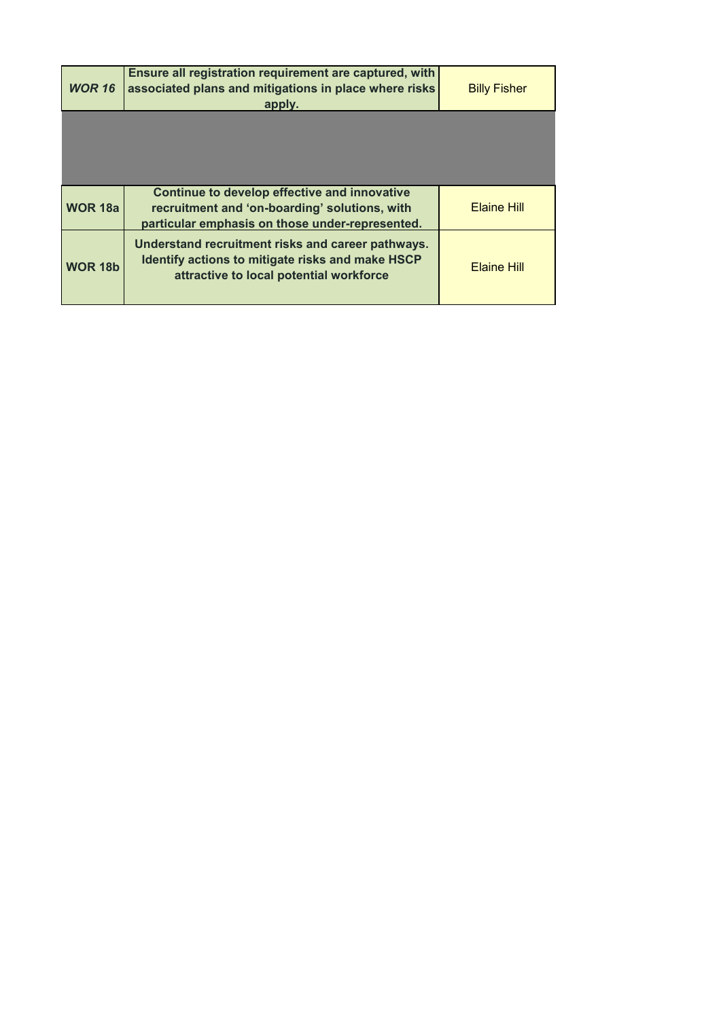| <b>WOR 16</b>  | Ensure all registration requirement are captured, with<br>associated plans and mitigations in place where risks<br>apply.                        | <b>Billy Fisher</b> |
|----------------|--------------------------------------------------------------------------------------------------------------------------------------------------|---------------------|
|                |                                                                                                                                                  |                     |
|                |                                                                                                                                                  |                     |
| <b>WOR 18a</b> | Continue to develop effective and innovative<br>recruitment and 'on-boarding' solutions, with<br>particular emphasis on those under-represented. | <b>Elaine Hill</b>  |
| <b>WOR 18b</b> | Understand recruitment risks and career pathways.<br>Identify actions to mitigate risks and make HSCP<br>attractive to local potential workforce | <b>Elaine Hill</b>  |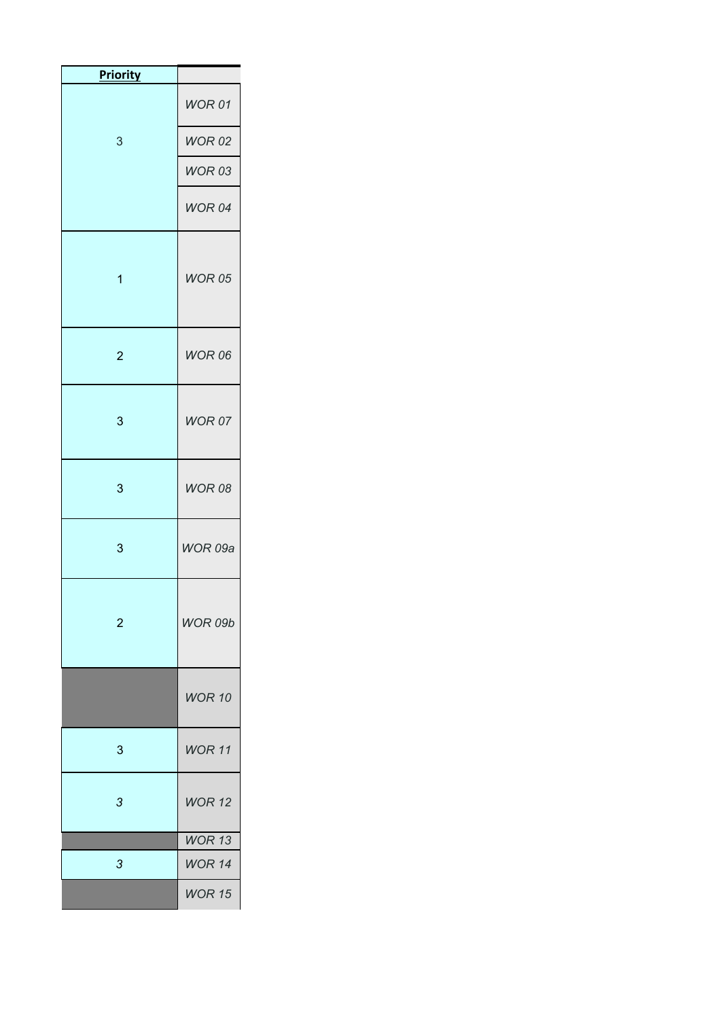| <b>Priority</b> |                |
|-----------------|----------------|
|                 | WOR 01         |
| 3               | <b>WOR 02</b>  |
|                 | <b>WOR 03</b>  |
|                 | WOR 04         |
| $\mathbf{1}$    | WOR 05         |
| $\overline{2}$  | <b>WOR 06</b>  |
| 3               | WOR 07         |
| 3               | <b>WOR 08</b>  |
| 3               | WOR 09a        |
| $\overline{2}$  | <b>WOR 09b</b> |
|                 | <b>WOR 10</b>  |
| 3               | <b>WOR 11</b>  |
| 3               | <b>WOR 12</b>  |
|                 | WOR 13         |
| 3               | <b>WOR 14</b>  |
|                 | <b>WOR 15</b>  |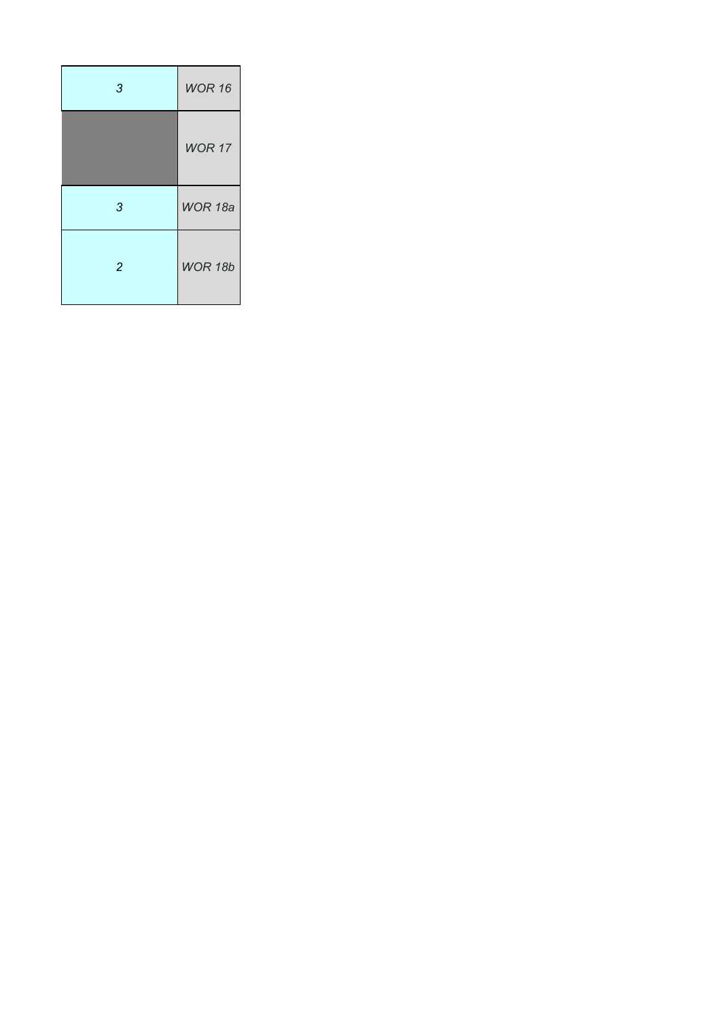| 3              | <b>WOR 16</b>  |
|----------------|----------------|
|                | <b>WOR 17</b>  |
| 3              | WOR 18a        |
| $\overline{2}$ | <b>WOR 18b</b> |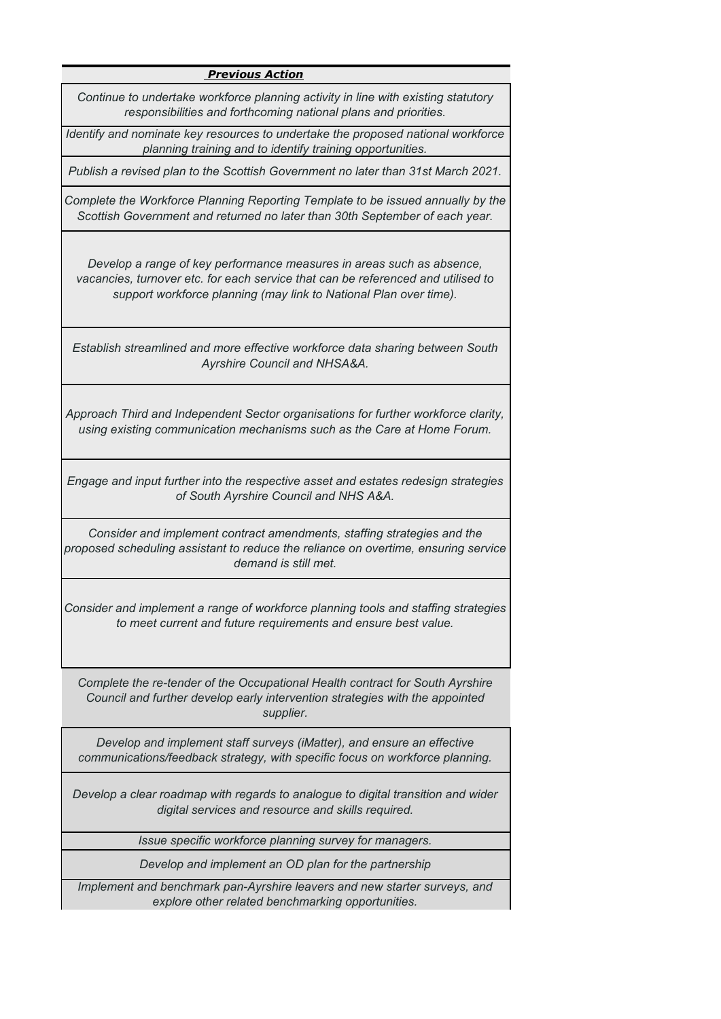## *Previous Action*

*Continue to undertake workforce planning activity in line with existing statutory responsibilities and forthcoming national plans and priorities.*

*Identify and nominate key resources to undertake the proposed national workforce planning training and to identify training opportunities.*

*Publish a revised plan to the Scottish Government no later than 31st March 2021.*

*Complete the Workforce Planning Reporting Template to be issued annually by the Scottish Government and returned no later than 30th September of each year.*

*Develop a range of key performance measures in areas such as absence, vacancies, turnover etc. for each service that can be referenced and utilised to support workforce planning (may link to National Plan over time).*

*Establish streamlined and more effective workforce data sharing between South Ayrshire Council and NHSA&A.*

*Approach Third and Independent Sector organisations for further workforce clarity, using existing communication mechanisms such as the Care at Home Forum.*

*Engage and input further into the respective asset and estates redesign strategies of South Ayrshire Council and NHS A&A.*

*Consider and implement contract amendments, staffing strategies and the proposed scheduling assistant to reduce the reliance on overtime, ensuring service demand is still met.*

*Consider and implement a range of workforce planning tools and staffing strategies to meet current and future requirements and ensure best value.* 

*Complete the re-tender of the Occupational Health contract for South Ayrshire Council and further develop early intervention strategies with the appointed supplier.*

*Develop and implement staff surveys (iMatter), and ensure an effective communications/feedback strategy, with specific focus on workforce planning.*

*Develop a clear roadmap with regards to analogue to digital transition and wider digital services and resource and skills required.*

*Issue specific workforce planning survey for managers.*

*Develop and implement an OD plan for the partnership*

*Implement and benchmark pan-Ayrshire leavers and new starter surveys, and explore other related benchmarking opportunities.*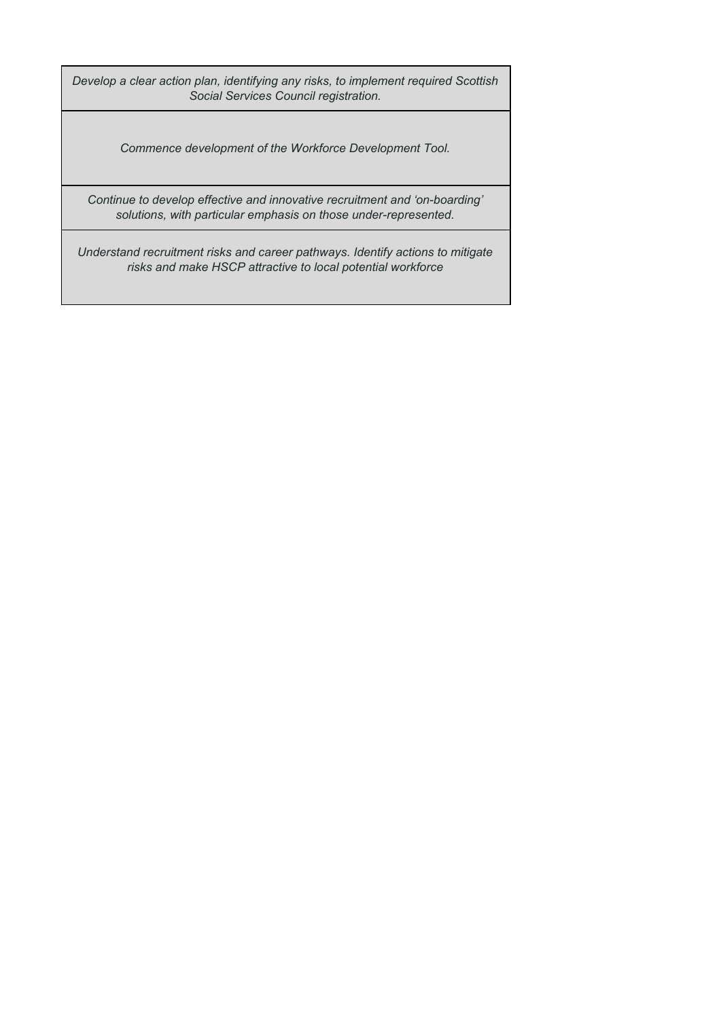*Develop a clear action plan, identifying any risks, to implement required Scottish Social Services Council registration.*

*Commence development of the Workforce Development Tool.*

*Continue to develop effective and innovative recruitment and 'on-boarding' solutions, with particular emphasis on those under-represented.*

*Understand recruitment risks and career pathways. Identify actions to mitigate risks and make HSCP attractive to local potential workforce*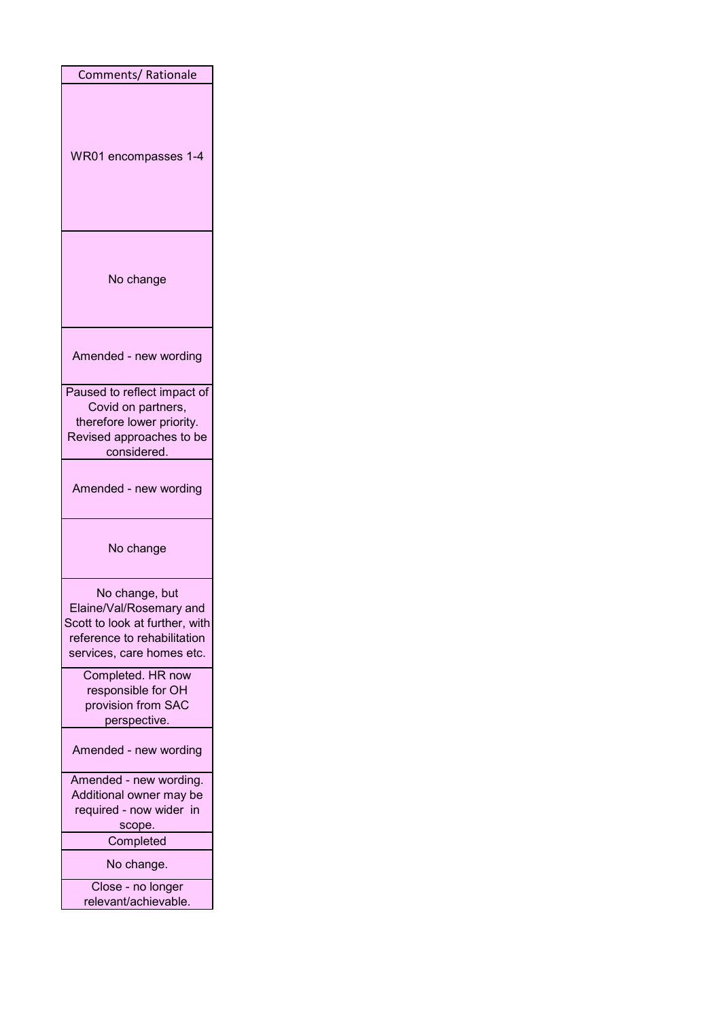| Comments/Rationale                        |
|-------------------------------------------|
|                                           |
| WR01 encompasses 1-4                      |
| No change                                 |
| Amended - new wording                     |
| Paused to reflect impact of               |
| Covid on partners,                        |
| therefore lower priority.                 |
| Revised approaches to be                  |
| considered.                               |
| Amended - new wording                     |
| No change                                 |
| No change, but                            |
| Elaine/Val/Rosemary and                   |
| Scott to look at further, with            |
| reference to rehabilitation               |
| services, care homes etc.                 |
| Completed. HR now                         |
| responsible for OH                        |
| provision from SAC                        |
| perspective.                              |
| Amended - new wording                     |
| Amended - new wording.                    |
| Additional owner may be                   |
| required - now wider in                   |
| scope.                                    |
| Completed                                 |
| No change.                                |
| Close - no longer<br>relevant/achievable. |
|                                           |